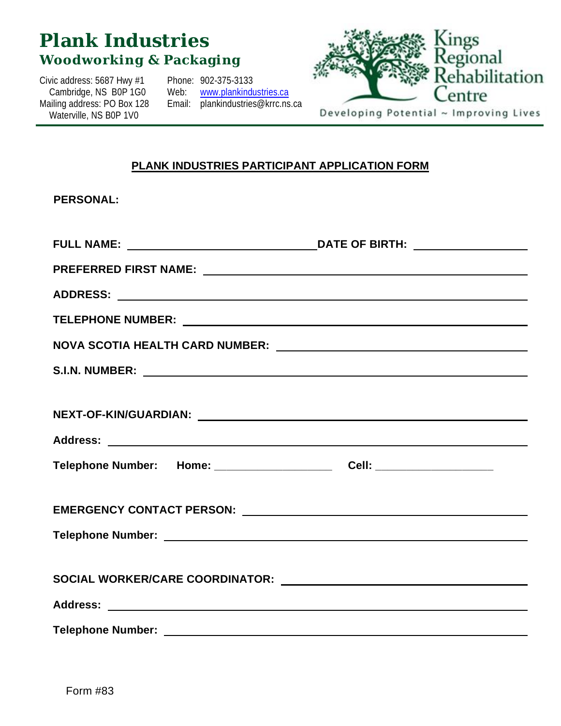# **Plank Industries Woodworking & Packaging**

Civic address: 5687 Hwy #1 Cambridge, NS B0P 1G0<br>Mailing address: PO Box 128 Waterville, NS B0P 1V0

Phone: 902-375-3133 Web: [www.plankindustries.ca](http://www.plankindustries.ca/) Email: plankindustries@krrc.ns.ca



Developing Potential ~ Improving Lives

#### **PLANK INDUSTRIES PARTICIPANT APPLICATION FORM**

| <b>PERSONAL:</b>                                                                                                                                                                                                              |  |
|-------------------------------------------------------------------------------------------------------------------------------------------------------------------------------------------------------------------------------|--|
|                                                                                                                                                                                                                               |  |
|                                                                                                                                                                                                                               |  |
|                                                                                                                                                                                                                               |  |
|                                                                                                                                                                                                                               |  |
|                                                                                                                                                                                                                               |  |
|                                                                                                                                                                                                                               |  |
|                                                                                                                                                                                                                               |  |
|                                                                                                                                                                                                                               |  |
|                                                                                                                                                                                                                               |  |
|                                                                                                                                                                                                                               |  |
|                                                                                                                                                                                                                               |  |
|                                                                                                                                                                                                                               |  |
| EMERGENCY CONTACT PERSON: Network and the set of the set of the set of the set of the set of the set of the set of the set of the set of the set of the set of the set of the set of the set of the set of the set of the set |  |
| Telephone Number: National Contract of Contract Contract of Contract Contract Contract Oriental Contract Oriental Contract Oriental Contract Oriental Contract Oriental Contract Oriental Contract Oriental Contract Oriental |  |
|                                                                                                                                                                                                                               |  |
|                                                                                                                                                                                                                               |  |
|                                                                                                                                                                                                                               |  |
| <b>Telephone Number:</b>                                                                                                                                                                                                      |  |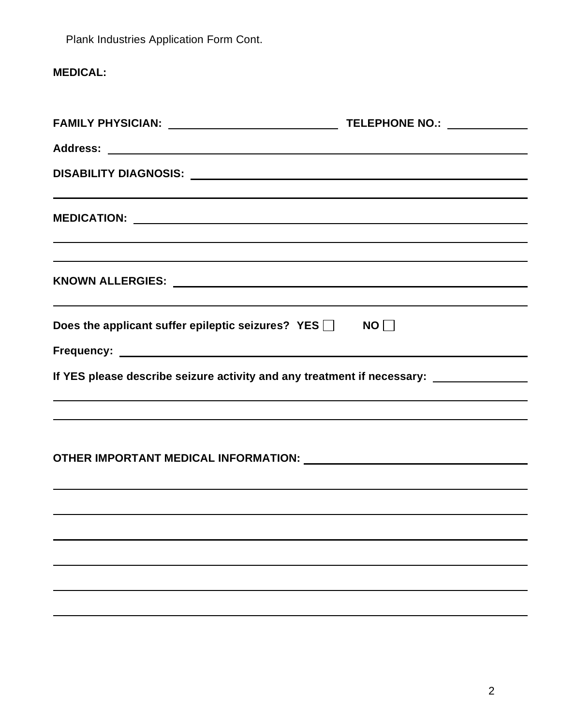## **MEDICAL:**

| <u> 1989 - Johann Stoff, amerikansk politiker (d. 1989)</u>                                                           |    |
|-----------------------------------------------------------------------------------------------------------------------|----|
|                                                                                                                       |    |
|                                                                                                                       |    |
| ,我们也不会有什么。""我们的人,我们也不会有什么?""我们的人,我们也不会有什么?""我们的人,我们也不会有什么?""我们的人,我们也不会有什么?""我们的人                                      |    |
| <u> 1989 - Johann Harry Harry Harry Harry Harry Harry Harry Harry Harry Harry Harry Harry Harry Harry Harry Harry</u> |    |
| Does the applicant suffer epileptic seizures? $YES$                                                                   | NO |
|                                                                                                                       |    |
| If YES please describe seizure activity and any treatment if necessary: _________                                     |    |
| <u> 1989 - Johann Stoff, amerikansk politiker (d. 1989)</u>                                                           |    |
|                                                                                                                       |    |
|                                                                                                                       |    |
|                                                                                                                       |    |
|                                                                                                                       |    |
|                                                                                                                       |    |
|                                                                                                                       |    |
|                                                                                                                       |    |
|                                                                                                                       |    |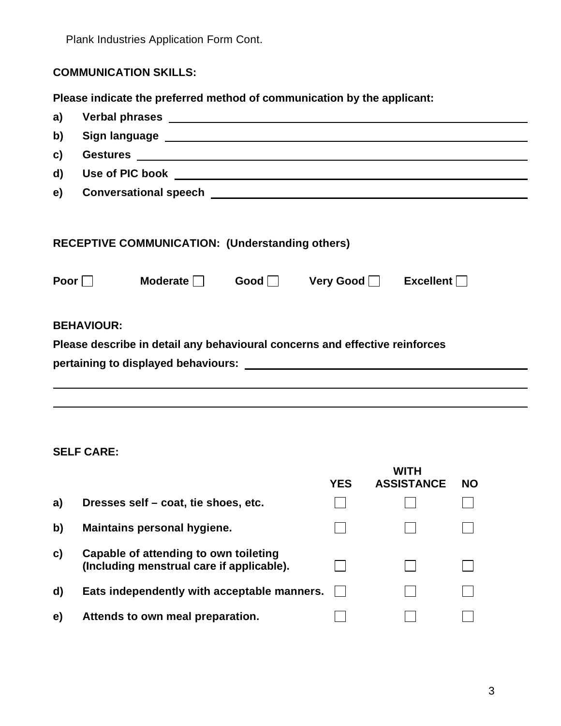#### **COMMUNICATION SKILLS:**

**Please indicate the preferred method of communication by the applicant:**

| a) |                                                                             |  |  |
|----|-----------------------------------------------------------------------------|--|--|
| b) |                                                                             |  |  |
| C) |                                                                             |  |  |
| d) |                                                                             |  |  |
| e) |                                                                             |  |  |
|    |                                                                             |  |  |
|    | <b>RECEPTIVE COMMUNICATION: (Understanding others)</b>                      |  |  |
|    | Poor $\Box$<br>Moderate Good Very Good Excellent                            |  |  |
|    | <b>BEHAVIOUR:</b>                                                           |  |  |
|    | Please describe in detail any behavioural concerns and effective reinforces |  |  |
|    |                                                                             |  |  |
|    |                                                                             |  |  |

#### **SELF CARE:**

|    |                                                                                    | YES | WITH<br><b>ASSISTANCE</b> | <b>NO</b> |
|----|------------------------------------------------------------------------------------|-----|---------------------------|-----------|
| a) | Dresses self – coat, tie shoes, etc.                                               |     |                           |           |
| b) | Maintains personal hygiene.                                                        |     |                           |           |
| C) | Capable of attending to own toileting<br>(Including menstrual care if applicable). |     |                           |           |
| d) | Eats independently with acceptable manners.                                        |     |                           |           |
| e) | Attends to own meal preparation.                                                   |     |                           |           |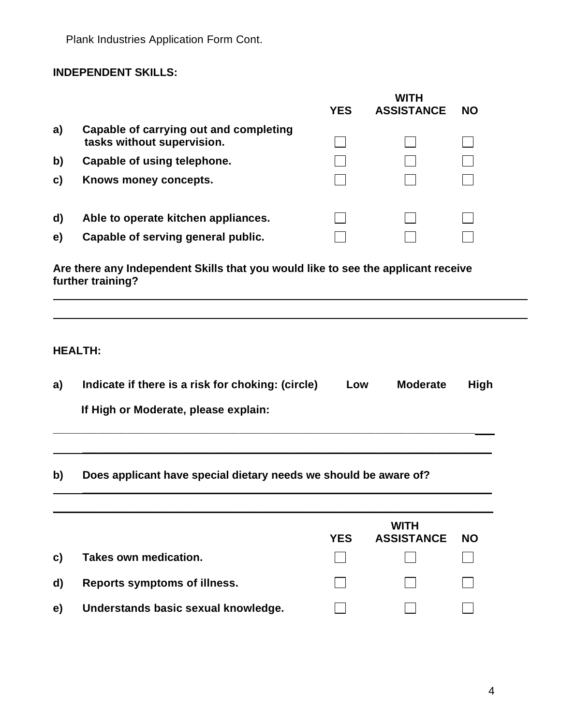#### **INDEPENDENT SKILLS:**

|    |                                                                      | YES | <b>WITH</b><br><b>ASSISTANCE</b> | <b>NO</b> |
|----|----------------------------------------------------------------------|-----|----------------------------------|-----------|
| a) | Capable of carrying out and completing<br>tasks without supervision. |     |                                  |           |
| b) | Capable of using telephone.                                          |     |                                  |           |
| C) | Knows money concepts.                                                |     |                                  |           |
| d) | Able to operate kitchen appliances.                                  |     |                                  |           |
| e) | Capable of serving general public.                                   |     |                                  |           |
|    |                                                                      |     |                                  |           |

**Are there any Independent Skills that you would like to see the applicant receive further training?**

#### **HEALTH:**

| a) | Indicate if there is a risk for choking: (circle) | Low | <b>Moderate</b> | <b>High</b> |
|----|---------------------------------------------------|-----|-----------------|-------------|
|    | If High or Moderate, please explain:              |     |                 |             |

**\_\_\_\_\_\_\_\_\_\_\_\_\_\_\_\_\_\_\_\_\_\_\_\_\_\_\_\_\_\_\_\_\_\_\_\_\_\_\_\_\_\_\_\_\_\_\_\_\_\_\_\_\_\_\_\_\_\_\_\_\_\_\_\_\_\_**

**\_\_\_\_\_\_\_\_\_\_\_\_\_\_\_\_\_\_\_\_\_\_\_\_\_\_\_\_\_\_\_\_\_\_\_\_\_\_\_\_\_\_\_\_\_\_\_\_\_\_\_\_\_\_\_\_\_\_\_\_\_\_\_\_\_\_\_**

**\_\_\_\_\_\_\_\_\_\_\_\_\_\_\_\_\_\_\_\_\_\_\_\_\_\_\_\_\_\_\_\_\_\_\_\_\_\_\_\_\_\_\_\_\_\_\_\_\_\_\_\_\_\_\_\_\_\_\_\_\_\_\_\_\_\_\_\_**

**b) Does applicant have special dietary needs we should be aware of?**

|              |                                     | <b>YES</b> | <b>WITH</b><br><b>ASSISTANCE</b> | <b>NO</b> |  |
|--------------|-------------------------------------|------------|----------------------------------|-----------|--|
| C)           | <b>Takes own medication.</b>        |            |                                  |           |  |
| $\mathbf{d}$ | Reports symptoms of illness.        |            |                                  |           |  |
| e)           | Understands basic sexual knowledge. |            |                                  |           |  |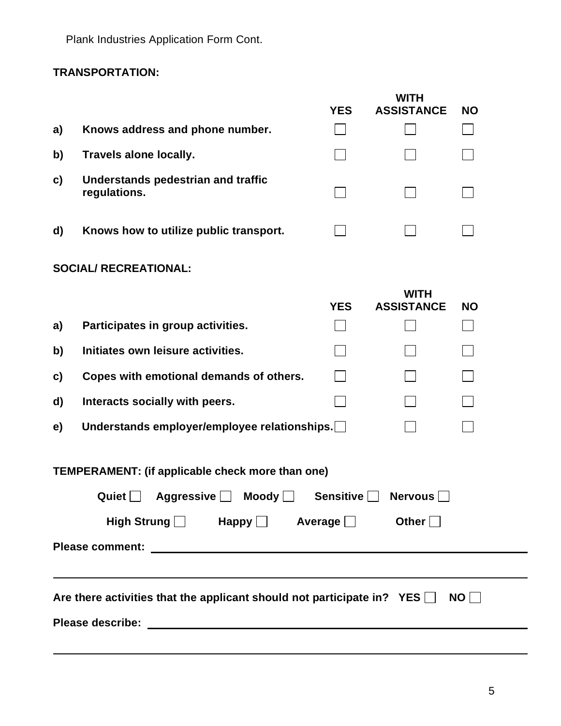### **TRANSPORTATION:**

|                                                                                | <b>YES</b> | <b>WITH</b><br><b>ASSISTANCE</b> | <b>NO</b> |  |  |
|--------------------------------------------------------------------------------|------------|----------------------------------|-----------|--|--|
| Knows address and phone number.<br>a)                                          |            |                                  |           |  |  |
| Travels alone locally.<br>b)                                                   |            |                                  |           |  |  |
| Understands pedestrian and traffic<br>c)<br>regulations.                       |            |                                  |           |  |  |
| Knows how to utilize public transport.<br>d)                                   |            |                                  |           |  |  |
| <b>SOCIAL/ RECREATIONAL:</b>                                                   |            |                                  |           |  |  |
|                                                                                | <b>YES</b> | <b>WITH</b><br><b>ASSISTANCE</b> | <b>NO</b> |  |  |
| Participates in group activities.<br>a)                                        |            |                                  |           |  |  |
| Initiates own leisure activities.<br>b)                                        |            |                                  |           |  |  |
| Copes with emotional demands of others.<br>$\mathbf{c}$                        |            |                                  |           |  |  |
| Interacts socially with peers.<br>d)                                           |            |                                  |           |  |  |
| Understands employer/employee relationships.<br>e)                             |            |                                  |           |  |  |
| TEMPERAMENT: (if applicable check more than one)                               |            |                                  |           |  |  |
| Moody<br>Quiet  <br><b>Aggressive</b>                                          | Sensitive  | <b>Nervous</b>                   |           |  |  |
| High Strung $\Box$ Happy $\Box$ Average $\Box$<br>Other $\Box$                 |            |                                  |           |  |  |
|                                                                                |            |                                  |           |  |  |
| Are there activities that the applicant should not participate in? $YES$<br>NO |            |                                  |           |  |  |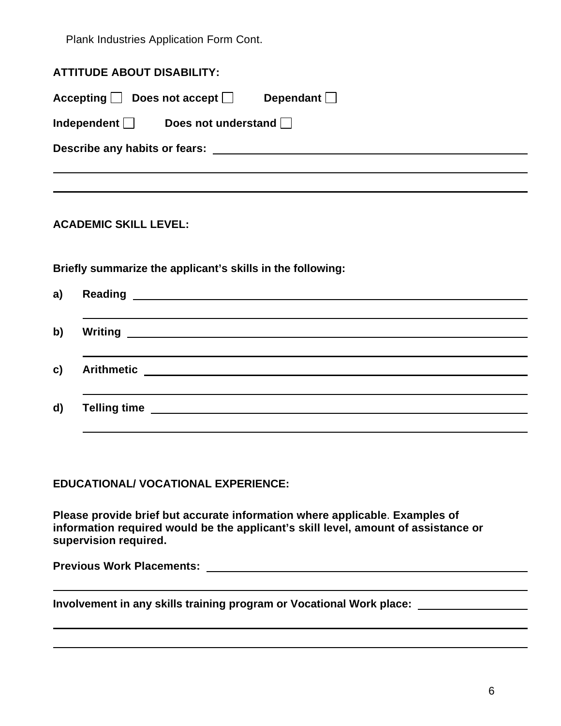| <b>ATTITUDE ABOUT DISABILITY:</b>                                      |
|------------------------------------------------------------------------|
| $\textsf{Accepting} \cup \textsf{Does not accept}$<br>Dependant $\Box$ |
| Does not understand $\Box$<br>Independent $\Box$                       |
| Describe any habits or fears:                                          |
|                                                                        |

#### **ACADEMIC SKILL LEVEL:**

**Briefly summarize the applicant's skills in the following:**

| a)            | <b>Reading</b>                                                                                                         |
|---------------|------------------------------------------------------------------------------------------------------------------------|
| b)            | <b>Writing</b>                                                                                                         |
| $\mathbf{c})$ | <b>Arithmetic</b><br><u> 1989 - Johann Stein, fransk politik (d. 1989)</u>                                             |
| d)            | Telling time <u>substitutions</u> and the set of the set of the set of the set of the set of the set of the set of the |

**EDUCATIONAL/ VOCATIONAL EXPERIENCE:**

**Please provide brief but accurate information where applicable**. **Examples of information required would be the applicant's skill level, amount of assistance or supervision required.**

**Previous Work Placements:**

**Involvement in any skills training program or Vocational Work place:**